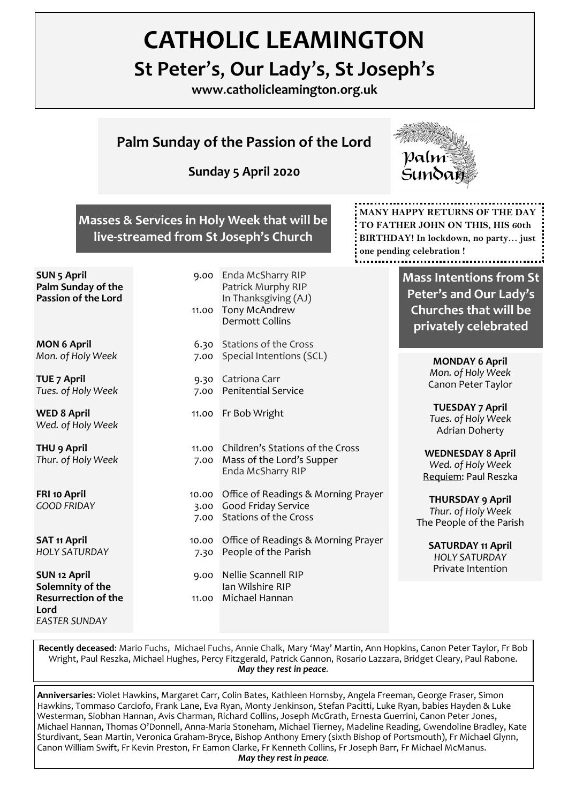# **CATHOLIC LEAMINGTON**

# **St Peter**'**s**, **Our Lady**'**s**, **St Joseph**'**s**

**www**.**catholicleamington**.**org**.**uk**

# **Palm Sunday of the Passion of the Lord**

**Sunday 5 April 2020**



## **Masses & Services in Holy Week that will be live-streamed from St Joseph's Church**

**SUN 5 April Palm Sunday of the Passion of the Lord**

**MON 6 April** *Mon. of Holy Week*

**TUE 7 April** *Tues. of Holy Week*

**WED 8 April** *Wed. of Holy Week*

**THU 9 April** *Thur. of Holy Week*

**FRI 10 April** *GOOD FRIDAY*

**SAT 11 April** *HOLY SATURDAY*

**SUN 12 April Solemnity of the Resurrection of the Lord** *EASTER SUNDAY*

| 9.00<br>11.00         | Enda McSharry RIP<br>Patrick Murphy RIP<br>In Thanksgiving (AJ)<br>Tony McAndrew<br><b>Dermott Collins</b> |
|-----------------------|------------------------------------------------------------------------------------------------------------|
| 6.30<br>7.00          | <b>Stations of the Cross</b><br>Special Intentions (SCL)                                                   |
| 9.30<br>7.00          | Catriona Carr<br><b>Penitential Service</b>                                                                |
| 11.00                 | Fr Bob Wright                                                                                              |
| 11.00<br>7.00         | Children's Stations of the Cross<br>Mass of the Lord's Supper<br>Enda McSharry RIP                         |
| 10.00<br>3.00<br>7.00 | Office of Readings & Morning Prayer<br>Good Friday Service<br><b>Stations of the Cross</b>                 |
| 10.00<br>7.30         | Office of Readings & Morning Prayer<br>People of the Parish                                                |
| 9.00<br>11.00         | <b>Nellie Scannell RIP</b><br>Ian Wilshire RIP<br>Michael Hannan                                           |
|                       |                                                                                                            |

**MANY HAPPY RETURNS OF THE DAY TO FATHER JOHN ON THIS, HIS 60th BIRTHDAY! In lockdown, no party… just one pending celebration !**

> **Mass Intentions from St Peter's and Our Lady's Churches that will be privately celebrated**

> > **MONDAY 6 April** *Mon. of Holy Week* Canon Peter Taylor

> > **TUESDAY 7 April** *Tues. of Holy Week* Adrian Doherty

**WEDNESDAY 8 April** *Wed. of Holy Week*

**THURSDAY 9 April** *Thur. of Holy Week* The People of the Parish

> **SATURDAY 11 April** *HOLY SATURDAY* Private Intention

**Recently deceased**: Mario Fuchs, Michael Fuchs, Annie Chalk, Mary 'May' Martin, Ann Hopkins, Canon Peter Taylor, Fr Bob Wright, Paul Reszka, Michael Hughes, Percy Fitzgerald, Patrick Gannon, Rosario Lazzara, Bridget Cleary, Paul Rabone. *May they rest in peace.*

**Anniversaries**: Violet Hawkins, Margaret Carr, Colin Bates, Kathleen Hornsby, Angela Freeman, George Fraser, Simon Hawkins, Tommaso Carciofo, Frank Lane, Eva Ryan, Monty Jenkinson, Stefan Pacitti, Luke Ryan, babies Hayden & Luke Westerman, Siobhan Hannan, Avis Charman, Richard Collins, Joseph McGrath, Ernesta Guerrini, Canon Peter Jones, Michael Hannan, Thomas O'Donnell, Anna-Maria Stoneham, Michael Tierney, Madeline Reading, Gwendoline Bradley, Kate Sturdivant, Sean Martin, Veronica Graham-Bryce, Bishop Anthony Emery (sixth Bishop of Portsmouth), Fr Michael Glynn, Canon William Swift, Fr Kevin Preston, Fr Eamon Clarke, Fr Kenneth Collins, Fr Joseph Barr, Fr Michael McManus. *May they rest in peace.*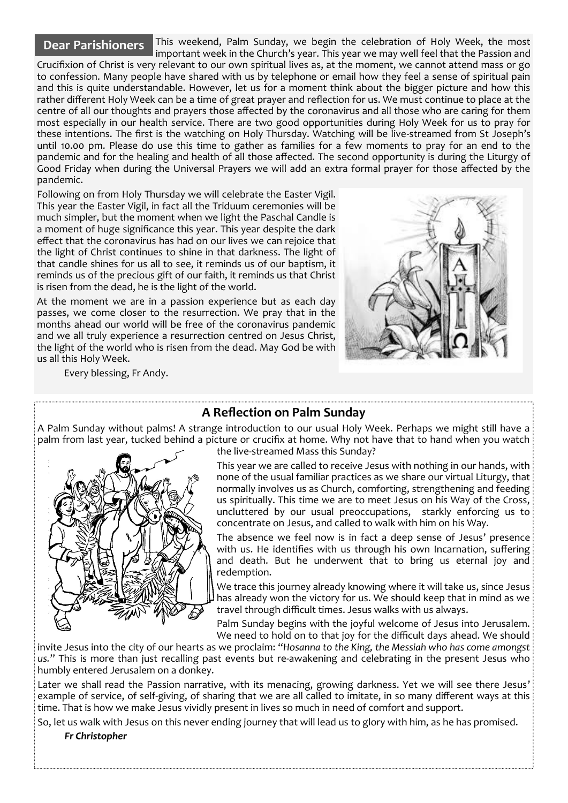#### **Dear Parishioners**

This weekend, Palm Sunday, we begin the celebration of Holy Week, the most important week in the Church's year. This year we may well feel that the Passion and Crucifixion of Christ is very relevant to our own spiritual lives as, at the moment, we cannot attend mass or go to confession. Many people have shared with us by telephone or email how they feel a sense of spiritual pain and this is quite understandable. However, let us for a moment think about the bigger picture and how this rather different Holy Week can be a time of great prayer and reflection for us. We must continue to place at the centre of all our thoughts and prayers those affected by the coronavirus and all those who are caring for them most especially in our health service. There are two good opportunities during Holy Week for us to pray for these intentions. The first is the watching on Holy Thursday. Watching will be live-streamed from St Joseph's until 10.00 pm. Please do use this time to gather as families for a few moments to pray for an end to the pandemic and for the healing and health of all those affected. The second opportunity is during the Liturgy of Good Friday when during the Universal Prayers we will add an extra formal prayer for those affected by the pandemic.

Following on from Holy Thursday we will celebrate the Easter Vigil. This year the Easter Vigil, in fact all the Triduum ceremonies will be much simpler, but the moment when we light the Paschal Candle is a moment of huge significance this year. This year despite the dark effect that the coronavirus has had on our lives we can rejoice that the light of Christ continues to shine in that darkness. The light of that candle shines for us all to see, it reminds us of our baptism, it reminds us of the precious gift of our faith, it reminds us that Christ is risen from the dead, he is the light of the world.

At the moment we are in a passion experience but as each day passes, we come closer to the resurrection. We pray that in the months ahead our world will be free of the coronavirus pandemic and we all truly experience a resurrection centred on Jesus Christ, the light of the world who is risen from the dead. May God be with us all this Holy Week.

Every blessing, Fr Andy.



#### **A Reflection on Palm Sunday**

A Palm Sunday without palms! A strange introduction to our usual Holy Week. Perhaps we might still have a palm from last year, tucked behind a picture or crucifix at home. Why not have that to hand when you watch



### the live-streamed Mass this Sunday?

This year we are called to receive Jesus with nothing in our hands, with none of the usual familiar practices as we share our virtual Liturgy, that normally involves us as Church, comforting, strengthening and feeding us spiritually. This time we are to meet Jesus on his Way of the Cross, uncluttered by our usual preoccupations, starkly enforcing us to concentrate on Jesus, and called to walk with him on his Way.

The absence we feel now is in fact a deep sense of Jesus' presence with us. He identifies with us through his own Incarnation, suffering and death. But he underwent that to bring us eternal joy and redemption.

We trace this journey already knowing where it will take us, since Jesus has already won the victory for us. We should keep that in mind as we travel through difficult times. Jesus walks with us always.

Palm Sunday begins with the joyful welcome of Jesus into Jerusalem. We need to hold on to that joy for the difficult days ahead. We should

invite Jesus into the city of our hearts as we proclaim: "*Hosanna to the King, the Messiah who has come amongst us.*" This is more than just recalling past events but re-awakening and celebrating in the present Jesus who humbly entered Jerusalem on a donkey.

Later we shall read the Passion narrative, with its menacing, growing darkness. Yet we will see there Jesus' example of service, of self-giving, of sharing that we are all called to imitate, in so many different ways at this time. That is how we make Jesus vividly present in lives so much in need of comfort and support.

So, let us walk with Jesus on this never ending journey that will lead us to glory with him, as he has promised.

*Fr Christopher*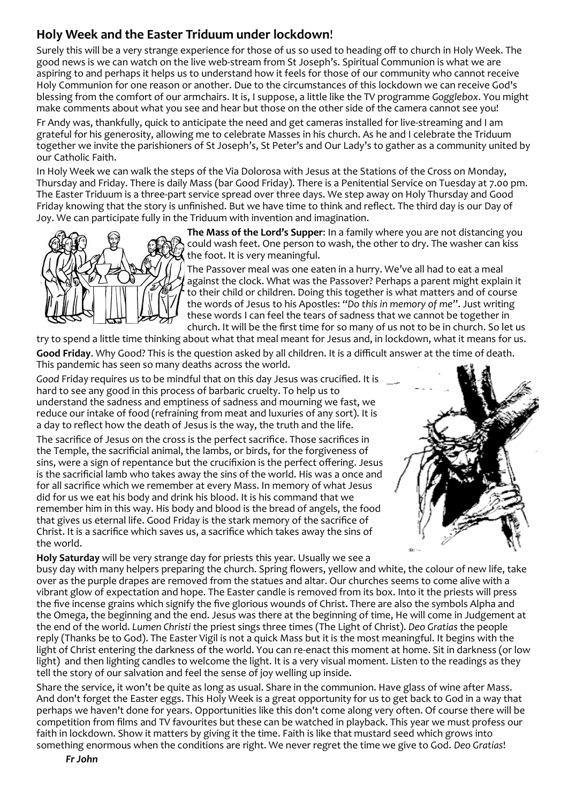# **Holy Week and the Easter Triduum under lockdown**!

Surely this will be a very strange experience for those of us so used to heading off to church in Holy Week. The good news is we can watch on the live web-stream from St Joseph's. Spiritual Communion is what we are aspiring to and perhaps it helps us to understand how it feels for those of our community who cannot receive Holy Communion for one reason or another. Due to the circumstances of this lockdown we can receive God's blessing from the comfort of our armchairs. It is, I suppose, a little like the TV programme *Gogglebox*. You might make comments about what you see and hear but those on the other side of the camera cannot see you!

Fr Andy was, thankfully, quick to anticipate the need and get cameras installed for live-streaming and I am grateful for his generosity, allowing me to celebrate Masses in his church. As he and I celebrate the Triduum together we invite the parishioners of St Joseph's, St Peter's and Our Lady's to gather as a community united by our Catholic Faith.

In Holy Week we can walk the steps of the Via Dolorosa with Jesus at the Stations of the Cross on Monday, Thursday and Friday. There is daily Mass (bar Good Friday). There is a Penitential Service on Tuesday at 7.00 pm. The Easter Triduum is a three-part service spread over three days. We step away on Holy Thursday and Good Friday knowing that the story is unfinished. But we have time to think and reflect. The third day is our Day of Joy. We can participate fully in the Triduum with invention and imagination.



**The Mass of the Lord's Supper**: In a family where you are not distancing you could wash feet. One person to wash, the other to dry. The washer can kiss the foot. It is very meaningful.

The Passover meal was one eaten in a hurry. We've all had to eat a meal against the clock. What was the Passover? Perhaps a parent might explain it to their child or children. Doing this together is what matters and of course the words of Jesus to his Apostles: "*Do this in memory of me*". Just writing these words I can feel the tears of sadness that we cannot be together in church. It will be the first time for so many of us not to be in church. So let us

try to spend a little time thinking about what that meal meant for Jesus and, in lockdown, what it means for us.

**Good Friday**. Why Good? This is the question asked by all children. It is a difficult answer at the time of death. This pandemic has seen so many deaths across the world.

*Good* Friday requires us to be mindful that on this day Jesus was crucified. It is hard to see any good in this process of barbaric cruelty. To help us to understand the sadness and emptiness of sadness and mourning we fast, we reduce our intake of food (refraining from meat and luxuries of any sort). It is a day to reflect how the death of Jesus is the way, the truth and the life.

The sacrifice of Jesus on the cross is the perfect sacrifice. Those sacrifices in the Temple, the sacrificial animal, the lambs, or birds, for the forgiveness of sins, were a sign of repentance but the crucifixion is the perfect offering. Jesus is the sacrificial lamb who takes away the sins of the world. His was a once and for all sacrifice which we remember at every Mass. In memory of what Jesus did for us we eat his body and drink his blood. It is his command that we remember him in this way. His body and blood is the bread of angels, the food that gives us eternal life. Good Friday is the stark memory of the sacrifice of Christ. It is a sacrifice which saves us, a sacrifice which takes away the sins of the world.



**Holy Saturday** will be very strange day for priests this year. Usually we see a busy day with many helpers preparing the church. Spring flowers, yellow and white, the colour of new life, take over as the purple drapes are removed from the statues and altar. Our churches seems to come alive with a vibrant glow of expectation and hope. The Easter candle is removed from its box. Into it the priests will press the five incense grains which signify the five glorious wounds of Christ. There are also the symbols Alpha and the Omega, the beginning and the end. Jesus was there at the beginning of time, He will come in Judgement at the end of the world. *Lumen Christi* the priest sings three times (The Light of Christ). *Deo Gratias* the people reply (Thanks be to God). The Easter Vigil is not a quick Mass but it is the most meaningful. It begins with the light of Christ entering the darkness of the world. You can re-enact this moment at home. Sit in darkness (or low light) and then lighting candles to welcome the light. It is a very visual moment. Listen to the readings as they tell the story of our salvation and feel the sense of joy welling up inside.

Share the service, it won't be quite as long as usual. Share in the communion. Have glass of wine after Mass. And don't forget the Easter eggs. This Holy Week is a great opportunity for us to get back to God in a way that perhaps we haven't done for years. Opportunities like this don't come along very often. Of course there will be competition from films and TV favourites but these can be watched in playback. This year we must profess our faith in lockdown. Show it matters by giving it the time. Faith is like that mustard seed which grows into something enormous when the conditions are right. We never regret the time we give to God. *Deo Gratias*!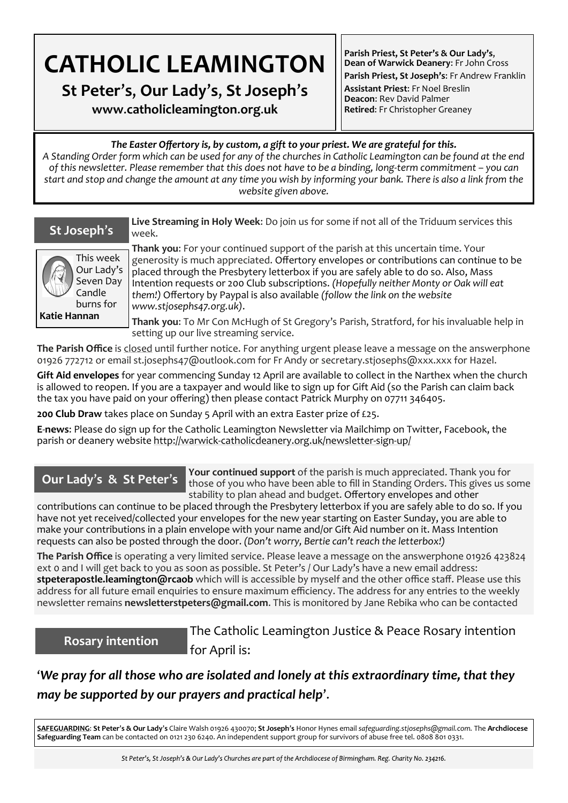# **CATHOLIC LEAMINGTON**

**St Peter**'**s**, **Our Lady**'**s**, **St Joseph**'**s**

**www**.**catholicleamington**.**org**.**uk**

**Parish Priest, St Peter's & Our Lady's**, **Dean of Warwick Deanery**: Fr John Cross

**Parish Priest, St Joseph's**: Fr Andrew Franklin **Assistant Priest**: Fr Noel Breslin **Deacon**: Rev David Palmer **Retired**: Fr Christopher Greaney

#### *The Easter Offertory is, by custom, a gift to your priest. We are grateful for this.*

*A Standing Order form which can be used for any of the churches in Catholic Leamington can be found at the end of this newsletter. Please remember that this does not have to be a binding, long-term commitment – you can start and stop and change the amount at any time you wish by informing your bank. There is also a link from the website given above.*



**Live Streaming in Holy Week**: Do join us for some if not all of the Triduum services this week.

This week Our Lady's Seven Day Candle burns for **Katie Hannan**

**Thank you**: For your continued support of the parish at this uncertain time. Your generosity is much appreciated. Offertory envelopes or contributions can continue to be placed through the Presbytery letterbox if you are safely able to do so. Also, Mass Intention requests or 200 Club subscriptions. *(Hopefully neither Monty or Oak will eat them!)* Offertory by Paypal is also available *(follow the link on the website www.stjosephs47.org.uk)*.

**Thank you**: To Mr Con McHugh of St Gregory's Parish, Stratford, for his invaluable help in setting up our live streaming service.

**The Parish Office** is closed until further notice. For anything urgent please leave a message on the answerphone 01926 772712 or email st.josephs47@outlook.com for Fr Andy or secretary.stjosephs@xxx.xxx for Hazel.

**Gift Aid envelopes** for year commencing Sunday 12 April are available to collect in the Narthex when the church is allowed to reopen. If you are a taxpayer and would like to sign up for Gift Aid (so the Parish can claim back the tax you have paid on your offering) then please contact Patrick Murphy on 07711 346405.

**200 Club Draw** takes place on Sunday 5 April with an extra Easter prize of £25.

**E**-**news**: Please do sign up for the Catholic Leamington Newsletter via Mailchimp on Twitter, Facebook, the parish or deanery website http://warwick-[catholicdeanery.org.uk/newsletter](https://eur01.safelinks.protection.outlook.com/?url=http%3A%2F%2Fwarwick-catholicdeanery.org.uk%2Fnewsletter-sign-up%2F&data=02%7C01%7C%7C721285f1bfe64a92393d08d7a351cd53%7C84df9e7fe9f640afb435aaaaaaaaaaaa%7C1%7C0%7C637157444038479073&sdata=wJyzCzyquvWm6KYBMn)-sign-up/

## **Our Lady**'**s & St Peter**'**s**

**Your continued support** of the parish is much appreciated. Thank you for those of you who have been able to fill in Standing Orders. This gives us some stability to plan ahead and budget. Offertory envelopes and other

contributions can continue to be placed through the Presbytery letterbox if you are safely able to do so. If you have not yet received/collected your envelopes for the new year starting on Easter Sunday, you are able to make your contributions in a plain envelope with your name and/or Gift Aid number on it. Mass Intention requests can also be posted through the door. *(Don't worry, Bertie can't reach the letterbox!)* 

**The Parish Office** is operating a very limited service. Please leave a message on the answerphone 01926 423824 ext 0 and I will get back to you as soon as possible. St Peter's / Our Lady's have a new email address: **stpeterapostle.leamington@rcaob** which will is accessible by myself and the other office staff. Please use this address for all future email enquiries to ensure maximum efficiency. The address for any entries to the weekly newsletter remains **newsletterstpeters@gmail.com**. This is monitored by Jane Rebika who can be contacted

### **Rosary intention**

The Catholic Leamington Justice & Peace Rosary intention for April is:

'*We pray for all those who are isolated and lonely at this extraordinary time, that they may be supported by our prayers and practical help*'.

**SAFEGUARDING**: **St Peter**'**s & Our Lady**'**s** Claire Walsh 01926 430070; **St Joseph**'**s** Honor Hynes email *safeguarding.stjosephs@gmail.com.* The **Archdiocese Safeguarding Team** can be contacted on 0121 230 6240. An independent support group for survivors of abuse free tel. 0808 801 0331.